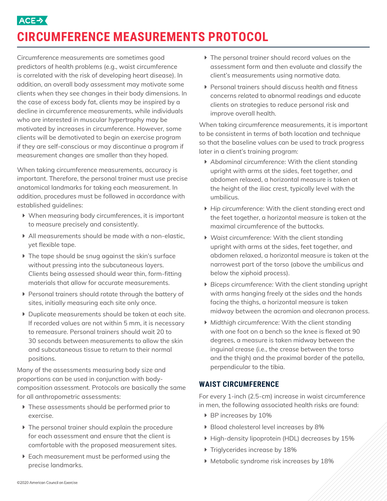

# **CIRCUMFERENCE MEASUREMENTS PROTOCOL**

Circumference measurements are sometimes good predictors of health problems (e.g., waist circumference is correlated with the risk of developing heart disease). In addition, an overall body assessment may motivate some clients when they see changes in their body dimensions. In the case of excess body fat, clients may be inspired by a decline in circumference measurements, while individuals who are interested in muscular hypertrophy may be motivated by increases in circumference. However, some clients will be demotivated to begin an exercise program if they are self-conscious or may discontinue a program if measurement changes are smaller than they hoped.

When taking circumference measurements, accuracy is important. Therefore, the personal trainer must use precise anatomical landmarks for taking each measurement. In addition, procedures must be followed in accordance with established guidelines:

- $\blacktriangleright$  When measuring body circumferences, it is important to measure precisely and consistently.
- $\blacktriangleright$  All measurements should be made with a non-elastic, yet flexible tape.
- $\blacktriangleright$  The tape should be snug against the skin's surface without pressing into the subcutaneous layers. Clients being assessed should wear thin, form-fitting materials that allow for accurate measurements.
- **Personal trainers should rotate through the battery of** sites, initially measuring each site only once.
- $\triangleright$  Duplicate measurements should be taken at each site. If recorded values are not within 5 mm, it is necessary to remeasure. Personal trainers should wait 20 to 30 seconds between measurements to allow the skin and subcutaneous tissue to return to their normal positions.

Many of the assessments measuring body size and proportions can be used in conjunction with bodycomposition assessment. Protocols are basically the same for all anthropometric assessments:

- $\triangleright$  These assessments should be performed prior to exercise.
- $\triangleright$  The personal trainer should explain the procedure for each assessment and ensure that the client is comfortable with the proposed measurement sites.
- $\triangleright$  Each measurement must be performed using the precise landmarks.
- $\blacktriangleright$  The personal trainer should record values on the assessment form and then evaluate and classify the client's measurements using normative data.
- $\blacktriangleright$  Personal trainers should discuss health and fitness concerns related to abnormal readings and educate clients on strategies to reduce personal risk and improve overall health.

When taking circumference measurements, it is important to be consistent in terms of both location and technique so that the baseline values can be used to track progress later in a client's training program:

- ▶ Abdominal circumference: With the client standing upright with arms at the sides, feet together, and abdomen relaxed, a horizontal measure is taken at the height of the iliac crest, typically level with the umbilicus.
- Î *Hip circumference:* With the client standing erect and the feet together, a horizontal measure is taken at the maximal circumference of the buttocks.
- ▶ Waist circumference: With the client standing upright with arms at the sides, feet together, and abdomen relaxed, a horizontal measure is taken at the narrowest part of the torso (above the umbilicus and below the xiphoid process).
- **Biceps circumference: With the client standing upright** with arms hanging freely at the sides and the hands facing the thighs, a horizontal measure is taken midway between the acromion and olecranon process.
- **Midthigh circumference: With the client standing** with one foot on a bench so the knee is flexed at 90 degrees, a measure is taken midway between the inguinal crease (i.e., the crease between the torso and the thigh) and the proximal border of the patella, perpendicular to the tibia.

## **WAIST CIRCUMFERENCE**

For every 1-inch (2.5-cm) increase in waist circumference in men, the following associated health risks are found:

- ▶ BP increases by 10%
- Blood cholesterol level increases by 8%
- $\blacktriangleright$  High-density lipoprotein (HDL) decreases by 15%
- $\blacktriangleright$  Triglycerides increase by 18%
- **Metabolic syndrome risk increases by 18%**